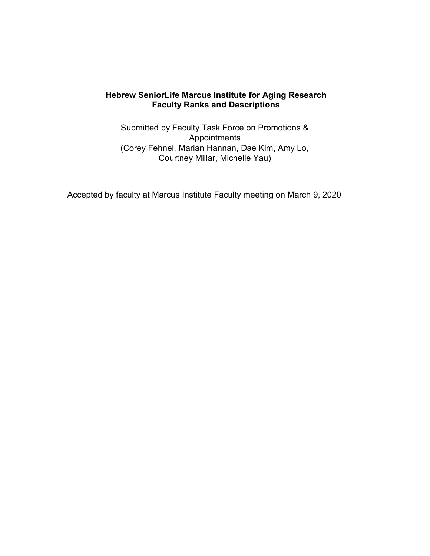# **Hebrew SeniorLife Marcus Institute for Aging Research Faculty Ranks and Descriptions**

Submitted by Faculty Task Force on Promotions & Appointments (Corey Fehnel, Marian Hannan, Dae Kim, Amy Lo, Courtney Millar, Michelle Yau)

Accepted by faculty at Marcus Institute Faculty meeting on March 9, 2020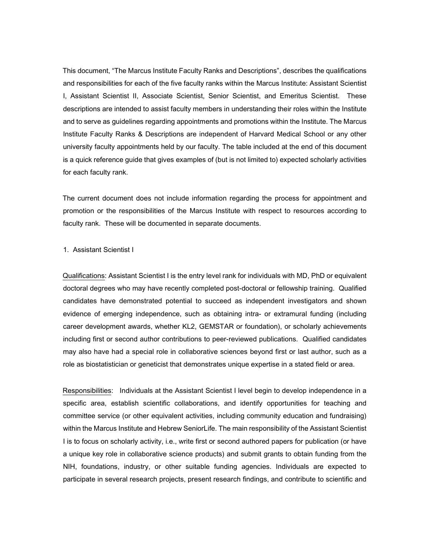This document, "The Marcus Institute Faculty Ranks and Descriptions", describes the qualifications and responsibilities for each of the five faculty ranks within the Marcus Institute: Assistant Scientist I, Assistant Scientist II, Associate Scientist, Senior Scientist, and Emeritus Scientist. These descriptions are intended to assist faculty members in understanding their roles within the Institute and to serve as guidelines regarding appointments and promotions within the Institute. The Marcus Institute Faculty Ranks & Descriptions are independent of Harvard Medical School or any other university faculty appointments held by our faculty. The table included at the end of this document is a quick reference guide that gives examples of (but is not limited to) expected scholarly activities for each faculty rank.

The current document does not include information regarding the process for appointment and promotion or the responsibilities of the Marcus Institute with respect to resources according to faculty rank. These will be documented in separate documents.

#### 1. Assistant Scientist I

Qualifications: Assistant Scientist I is the entry level rank for individuals with MD, PhD or equivalent doctoral degrees who may have recently completed post-doctoral or fellowship training. Qualified candidates have demonstrated potential to succeed as independent investigators and shown evidence of emerging independence, such as obtaining intra- or extramural funding (including career development awards, whether KL2, GEMSTAR or foundation), or scholarly achievements including first or second author contributions to peer-reviewed publications. Qualified candidates may also have had a special role in collaborative sciences beyond first or last author, such as a role as biostatistician or geneticist that demonstrates unique expertise in a stated field or area.

Responsibilities: Individuals at the Assistant Scientist I level begin to develop independence in a specific area, establish scientific collaborations, and identify opportunities for teaching and committee service (or other equivalent activities, including community education and fundraising) within the Marcus Institute and Hebrew SeniorLife. The main responsibility of the Assistant Scientist I is to focus on scholarly activity, i.e., write first or second authored papers for publication (or have a unique key role in collaborative science products) and submit grants to obtain funding from the NIH, foundations, industry, or other suitable funding agencies. Individuals are expected to participate in several research projects, present research findings, and contribute to scientific and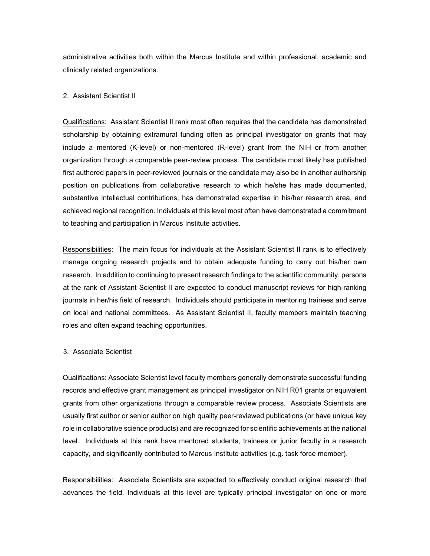administrative activities both within the Marcus Institute and within professional, academic and clinically related organizations.

## 2. Assistant Scientist II

Qualifications: Assistant Scientist II rank most often requires that the candidate has demonstrated scholarship by obtaining extramural funding often as principal investigator on grants that may include a mentored (K-level) or non-mentored (R-level) grant from the NIH or from another organization through a comparable peer-review process. The candidate most likely has published first authored papers in peer-reviewed journals or the candidate may also be in another authorship position on publications from collaborative research to which he/she has made documented, substantive intellectual contributions, has demonstrated expertise in his/her research area, and achieved regional recognition. Individuals at this level most often have demonstrated a commitment to teaching and participation in Marcus Institute activities.

Responsibilities: The main focus for individuals at the Assistant Scientist II rank is to effectively manage ongoing research projects and to obtain adequate funding to carry out his/her own research. In addition to continuing to present research findings to the scientific community, persons at the rank of Assistant Scientist II are expected to conduct manuscript reviews for high-ranking journals in her/his field of research. Individuals should participate in mentoring trainees and serve on local and national committees. As Assistant Scientist II, faculty members maintain teaching roles and often expand teaching opportunities.

## 3. Associate Scientist

Qualifications: Associate Scientist level faculty members generally demonstrate successful funding records and effective grant management as principal investigator on NIH R01 grants or equivalent grants from other organizations through a comparable review process. Associate Scientists are usually first author or senior author on high quality peer-reviewed publications (or have unique key role in collaborative science products) and are recognized for scientific achievements at the national level. Individuals at this rank have mentored students, trainees or junior faculty in a research capacity, and significantly contributed to Marcus Institute activities (e.g. task force member).

Responsibilities: Associate Scientists are expected to effectively conduct original research that advances the field. Individuals at this level are typically principal investigator on one or more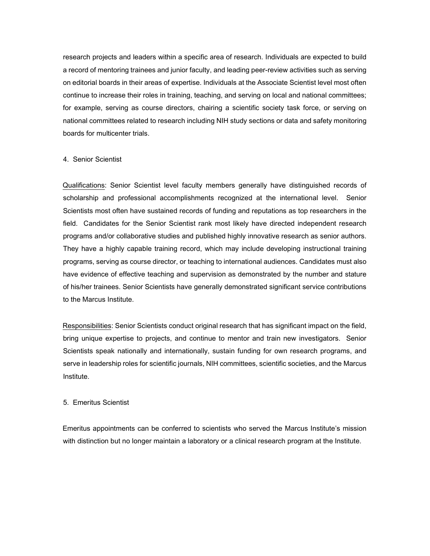research projects and leaders within a specific area of research. Individuals are expected to build a record of mentoring trainees and junior faculty, and leading peer-review activities such as serving on editorial boards in their areas of expertise. Individuals at the Associate Scientist level most often continue to increase their roles in training, teaching, and serving on local and national committees; for example, serving as course directors, chairing a scientific society task force, or serving on national committees related to research including NIH study sections or data and safety monitoring boards for multicenter trials.

## 4. Senior Scientist

Qualifications: Senior Scientist level faculty members generally have distinguished records of scholarship and professional accomplishments recognized at the international level. Senior Scientists most often have sustained records of funding and reputations as top researchers in the field. Candidates for the Senior Scientist rank most likely have directed independent research programs and/or collaborative studies and published highly innovative research as senior authors. They have a highly capable training record, which may include developing instructional training programs, serving as course director, or teaching to international audiences. Candidates must also have evidence of effective teaching and supervision as demonstrated by the number and stature of his/her trainees. Senior Scientists have generally demonstrated significant service contributions to the Marcus Institute.

Responsibilities: Senior Scientists conduct original research that has significant impact on the field, bring unique expertise to projects, and continue to mentor and train new investigators. Senior Scientists speak nationally and internationally, sustain funding for own research programs, and serve in leadership roles for scientific journals, NIH committees, scientific societies, and the Marcus Institute.

## 5. Emeritus Scientist

Emeritus appointments can be conferred to scientists who served the Marcus Institute's mission with distinction but no longer maintain a laboratory or a clinical research program at the Institute.